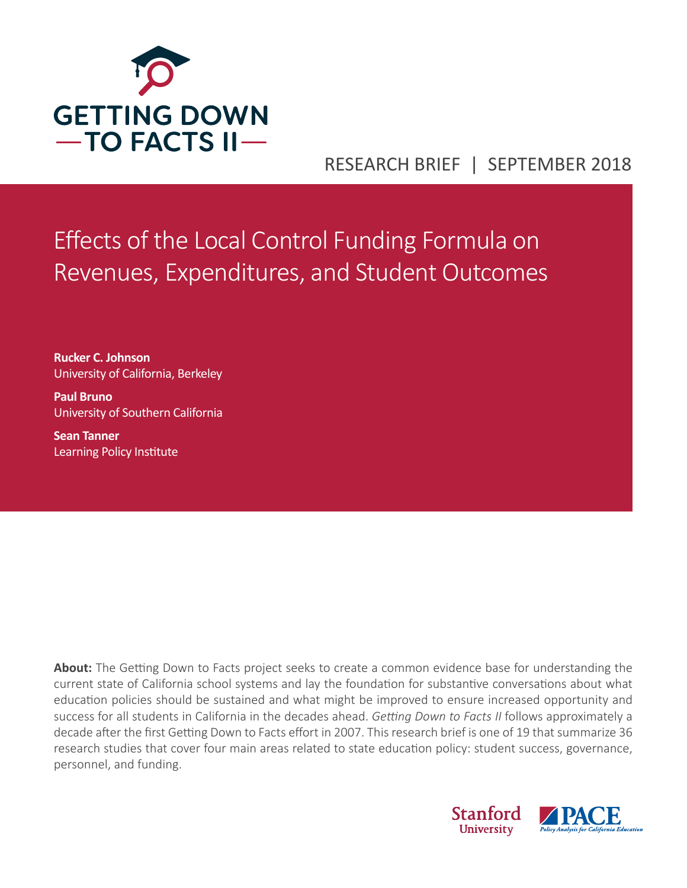

# RESEARCH BRIEF | SEPTEMBER 2018

Effects of the Local Control Funding Formula on Revenues, Expenditures, and Student Outcomes

**Rucker C. Johnson** University of California, Berkeley

**Paul Bruno**  University of Southern California

**Sean Tanner**  Learning Policy Institute

**About:** The Getting Down to Facts project seeks to create a common evidence base for understanding the current state of California school systems and lay the foundation for substantive conversations about what education policies should be sustained and what might be improved to ensure increased opportunity and success for all students in California in the decades ahead. *Getting Down to Facts II* follows approximately a decade after the first Getting Down to Facts effort in 2007. This research brief is one of 19 that summarize 36 research studies that cover four main areas related to state education policy: student success, governance, personnel, and funding.

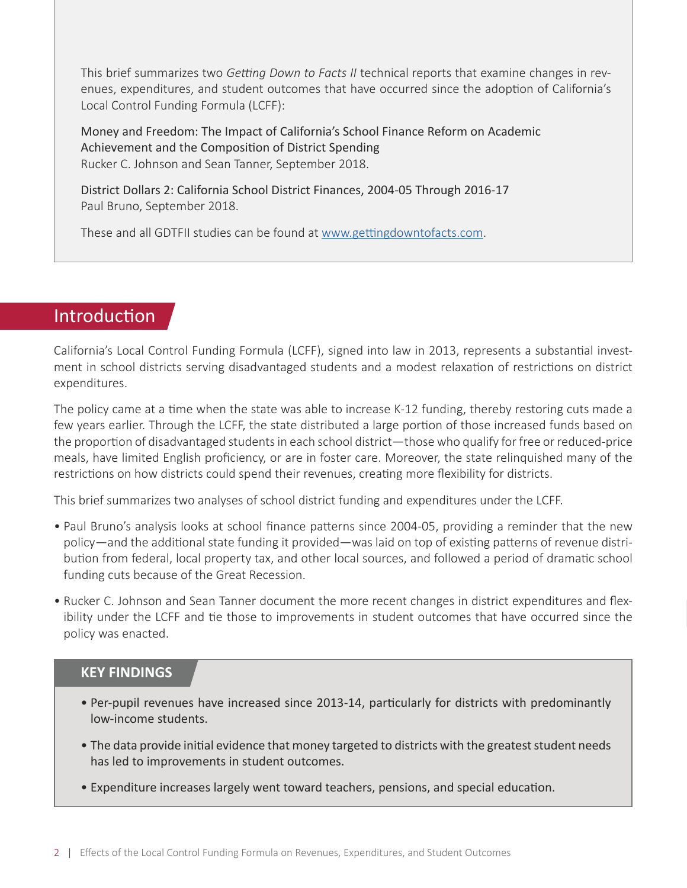This brief summarizes two *Getting Down to Facts II* technical reports that examine changes in revenues, expenditures, and student outcomes that have occurred since the adoption of California's Local Control Funding Formula (LCFF):

Money and Freedom: The Impact of California's School Finance Reform on Academic Achievement and the Composition of District Spending Rucker C. Johnson and Sean Tanner, September 2018.

District Dollars 2: California School District Finances, 2004-05 Through 2016-17 Paul Bruno, September 2018.

These and all GDTFII studies can be found at [www.gettingdowntofacts.com.](http://www.gettingdowntofacts.com)

## **Introduction**

California's Local Control Funding Formula (LCFF), signed into law in 2013, represents a substantial investment in school districts serving disadvantaged students and a modest relaxation of restrictions on district expenditures.

The policy came at a time when the state was able to increase K-12 funding, thereby restoring cuts made a few years earlier. Through the LCFF, the state distributed a large portion of those increased funds based on the proportion of disadvantaged students in each school district—those who qualify for free or reduced-price meals, have limited English proficiency, or are in foster care. Moreover, the state relinquished many of the restrictions on how districts could spend their revenues, creating more flexibility for districts.

This brief summarizes two analyses of school district funding and expenditures under the LCFF.

- Paul Bruno's analysis looks at school finance patterns since 2004-05, providing a reminder that the new policy—and the additional state funding it provided—was laid on top of existing patterns of revenue distribution from federal, local property tax, and other local sources, and followed a period of dramatic school funding cuts because of the Great Recession.
- Rucker C. Johnson and Sean Tanner document the more recent changes in district expenditures and flexibility under the LCFF and tie those to improvements in student outcomes that have occurred since the policy was enacted.

#### **KEY FINDINGS**

- Per-pupil revenues have increased since 2013-14, particularly for districts with predominantly low-income students.
- The data provide initial evidence that money targeted to districts with the greatest student needs has led to improvements in student outcomes.
- Expenditure increases largely went toward teachers, pensions, and special education.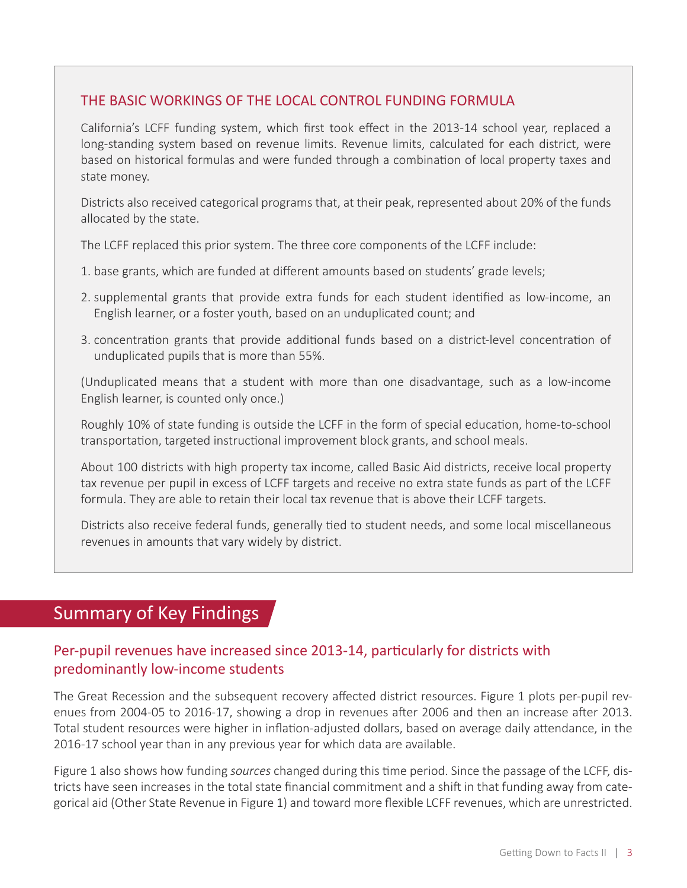#### THE BASIC WORKINGS OF THE LOCAL CONTROL FUNDING FORMULA

California's LCFF funding system, which first took effect in the 2013-14 school year, replaced a long-standing system based on revenue limits. Revenue limits, calculated for each district, were based on historical formulas and were funded through a combination of local property taxes and state money.

Districts also received categorical programs that, at their peak, represented about 20% of the funds allocated by the state.

The LCFF replaced this prior system. The three core components of the LCFF include:

- 1. base grants, which are funded at different amounts based on students' grade levels;
- 2. supplemental grants that provide extra funds for each student identified as low-income, an English learner, or a foster youth, based on an unduplicated count; and
- 3. concentration grants that provide additional funds based on a district-level concentration of unduplicated pupils that is more than 55%.

(Unduplicated means that a student with more than one disadvantage, such as a low-income English learner, is counted only once.)

Roughly 10% of state funding is outside the LCFF in the form of special education, home-to-school transportation, targeted instructional improvement block grants, and school meals.

About 100 districts with high property tax income, called Basic Aid districts, receive local property tax revenue per pupil in excess of LCFF targets and receive no extra state funds as part of the LCFF formula. They are able to retain their local tax revenue that is above their LCFF targets.

Districts also receive federal funds, generally tied to student needs, and some local miscellaneous revenues in amounts that vary widely by district.

## Summary of Key Findings

## Per-pupil revenues have increased since 2013-14, particularly for districts with predominantly low-income students

The Great Recession and the subsequent recovery affected district resources. Figure 1 plots per-pupil revenues from 2004-05 to 2016-17, showing a drop in revenues after 2006 and then an increase after 2013. Total student resources were higher in inflation-adjusted dollars, based on average daily attendance, in the 2016-17 school year than in any previous year for which data are available.

Figure 1 also shows how funding *sources* changed during this time period. Since the passage of the LCFF, districts have seen increases in the total state financial commitment and a shift in that funding away from categorical aid (Other State Revenue in Figure 1) and toward more flexible LCFF revenues, which are unrestricted.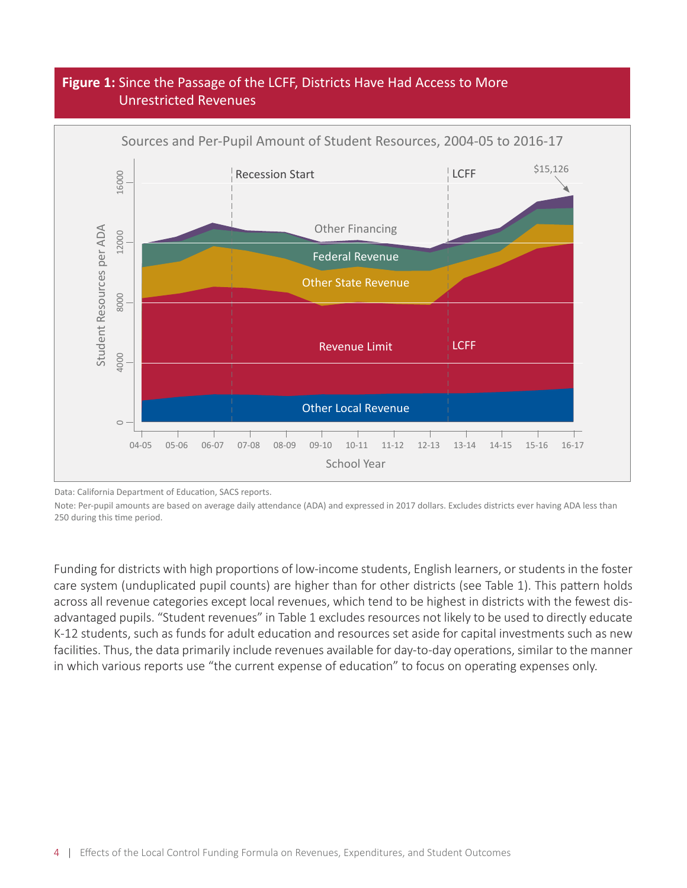### **Figure 1:** Since the Passage of the LCFF, Districts Have Had Access to More Unrestricted Revenues



Data: California Department of Education, SACS reports.

Note: Per-pupil amounts are based on average daily attendance (ADA) and expressed in 2017 dollars. Excludes districts ever having ADA less than

Funding for districts with high proportions of low-income students, English learners, or students in the foster care system (unduplicated pupil counts) are higher than for other districts (see Table 1). This pattern holds across all revenue categories except local revenues, which tend to be highest in districts with the fewest disadvantaged pupils. "Student revenues" in Table 1 excludes resources not likely to be used to directly educate K-12 students, such as funds for adult education and resources set aside for capital investments such as new facilities. Thus, the data primarily include revenues available for day-to-day operations, similar to the manner in which various reports use "the current expense of education" to focus on operating expenses only.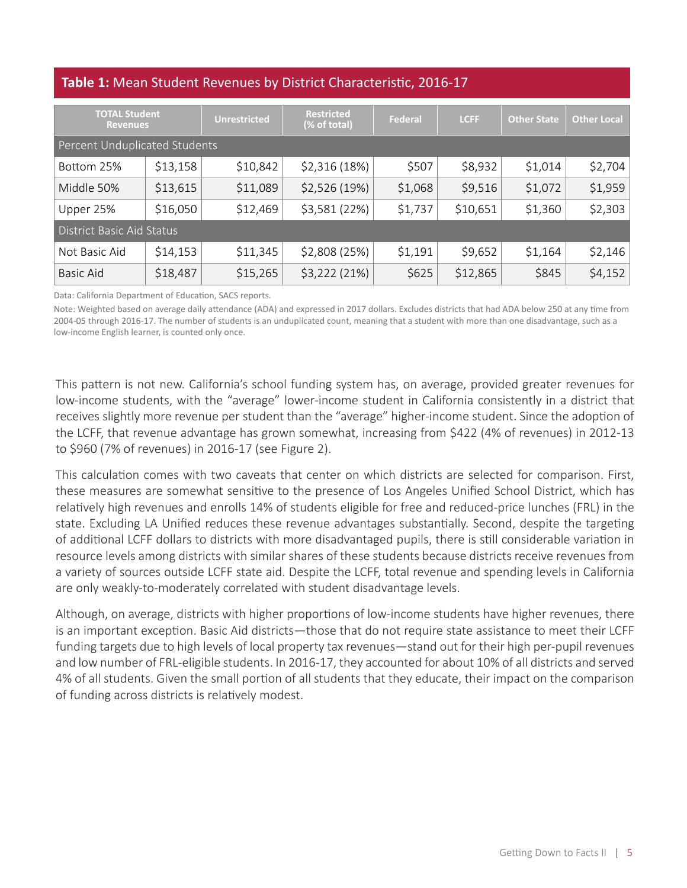#### **Table 1:** Mean Student Revenues by District Characteristic, 2016-17

| <b>TOTAL Student</b><br><b>Revenues</b> |          | <b>Unrestricted</b> | <b>Restricted</b><br>(% of total) | <b>Federal</b> | <b>LCFF</b> | <b>Other State</b> | <b>Other Local</b> |
|-----------------------------------------|----------|---------------------|-----------------------------------|----------------|-------------|--------------------|--------------------|
| Percent Unduplicated Students           |          |                     |                                   |                |             |                    |                    |
| Bottom 25%                              | \$13,158 | \$10,842            | \$2,316(18%)                      | \$507          | \$8,932     | \$1,014            | \$2,704            |
| Middle 50%                              | \$13,615 | \$11,089            | \$2,526(19%)                      | \$1,068        | \$9,516     | \$1,072            | \$1,959            |
| Upper 25%                               | \$16,050 | \$12,469            | \$3,581 (22%)                     | \$1,737        | \$10,651    | \$1,360            | \$2,303            |
| <b>District Basic Aid Status</b>        |          |                     |                                   |                |             |                    |                    |
| Not Basic Aid                           | \$14,153 | \$11,345            | \$2,808 (25%)                     | \$1,191        | \$9,652     | \$1,164            | \$2,146            |
| <b>Basic Aid</b>                        | \$18,487 | \$15,265            | \$3,222 (21%)                     | \$625          | \$12,865    | \$845              | \$4,152            |

Data: California Department of Education, SACS reports.

Note: Weighted based on average daily attendance (ADA) and expressed in 2017 dollars. Excludes districts that had ADA below 250 at any time from 2004-05 through 2016-17. The number of students is an unduplicated count, meaning that a student with more than one disadvantage, such as a low-income English learner, is counted only once.

This pattern is not new. California's school funding system has, on average, provided greater revenues for low-income students, with the "average" lower-income student in California consistently in a district that receives slightly more revenue per student than the "average" higher-income student. Since the adoption of the LCFF, that revenue advantage has grown somewhat, increasing from \$422 (4% of revenues) in 2012-13 to \$960 (7% of revenues) in 2016-17 (see Figure 2).

This calculation comes with two caveats that center on which districts are selected for comparison. First, these measures are somewhat sensitive to the presence of Los Angeles Unified School District, which has relatively high revenues and enrolls 14% of students eligible for free and reduced-price lunches (FRL) in the state. Excluding LA Unified reduces these revenue advantages substantially. Second, despite the targeting of additional LCFF dollars to districts with more disadvantaged pupils, there is still considerable variation in resource levels among districts with similar shares of these students because districts receive revenues from a variety of sources outside LCFF state aid. Despite the LCFF, total revenue and spending levels in California are only weakly-to-moderately correlated with student disadvantage levels.

Although, on average, districts with higher proportions of low-income students have higher revenues, there is an important exception. Basic Aid districts—those that do not require state assistance to meet their LCFF funding targets due to high levels of local property tax revenues—stand out for their high per-pupil revenues and low number of FRL-eligible students. In 2016-17, they accounted for about 10% of all districts and served 4% of all students. Given the small portion of all students that they educate, their impact on the comparison of funding across districts is relatively modest.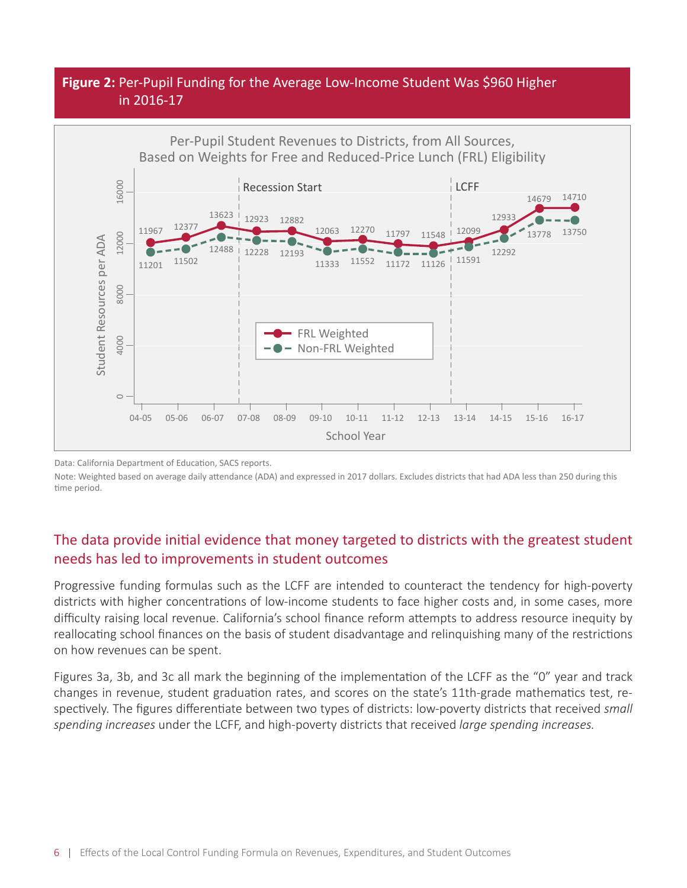#### **Figure 2:** Per-Pupil Funding for the Average Low-Income Student Was \$960 Higher in 2016-17



Data: California Department of Education, SACS reports.

Note: Weighted based on average daily attendance (ADA) and expressed in 2017 dollars. Excludes districts that had ADA less than 250 during this

#### The data provide initial evidence that money targeted to districts with the greatest student needs has led to improvements in student outcomes

Progressive funding formulas such as the LCFF are intended to counteract the tendency for high-poverty districts with higher concentrations of low-income students to face higher costs and, in some cases, more difficulty raising local revenue. California's school finance reform attempts to address resource inequity by reallocating school finances on the basis of student disadvantage and relinquishing many of the restrictions on how revenues can be spent.

Figures 3a, 3b, and 3c all mark the beginning of the implementation of the LCFF as the "0" year and track changes in revenue, student graduation rates, and scores on the state's 11th-grade mathematics test, respectively. The figures differentiate between two types of districts: low-poverty districts that received *small spending increases* under the LCFF, and high-poverty districts that received *large spending increases.*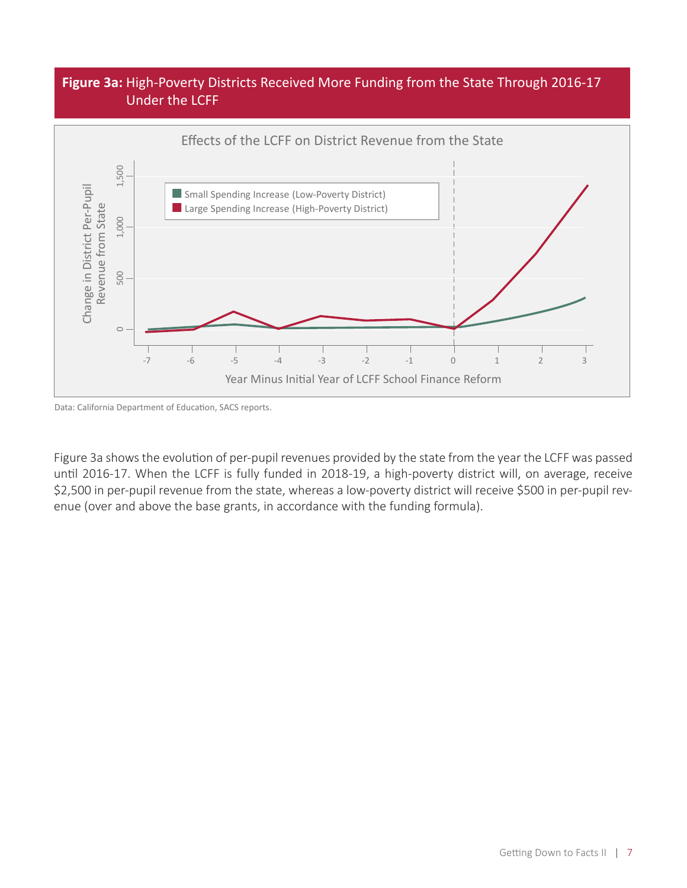#### **Figure 3a:** High-Poverty Districts Received More Funding from the State Through 2016-17 Under the LCFF



Figure 3a shows the evolution of per-pupil revenues provided by the state from the year the LCFF was passed until 2016-17. When the LCFF is fully funded in 2018-19, a high-poverty district will, on average, receive \$2,500 in per-pupil revenue from the state, whereas a low-poverty district will receive \$500 in per-pupil revenue (over and above the base grants, in accordance with the funding formula).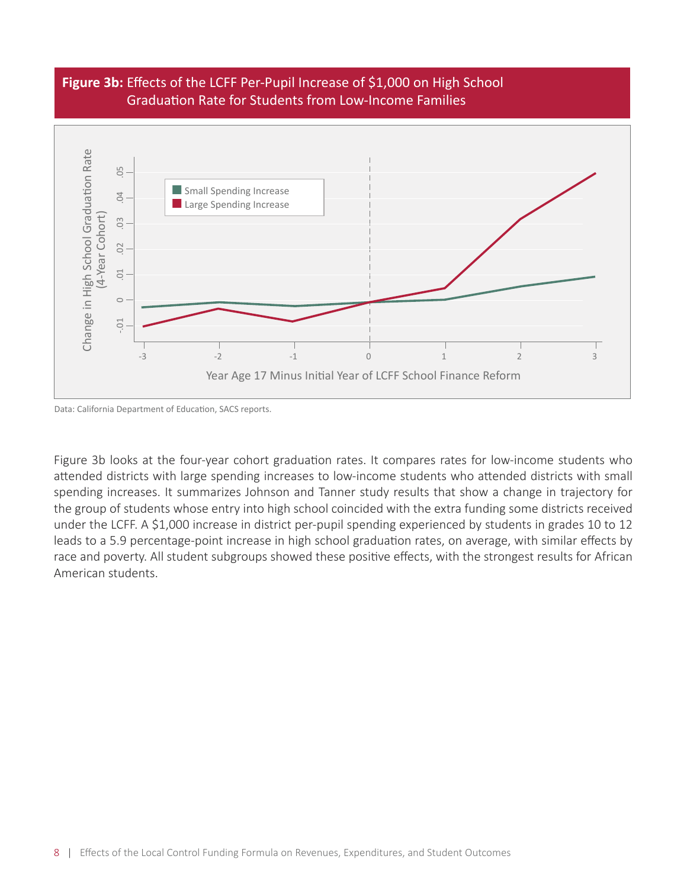#### **Figure 3b:** Effects of the LCFF Per-Pupil Increase of \$1,000 on High School Graduation Rate for Students from Low-Income Families



Data: California Department of Education, SACS reports.

Figure 3b looks at the four-year cohort graduation rates. It compares rates for low-income students who attended districts with large spending increases to low-income students who attended districts with small spending increases. It summarizes Johnson and Tanner study results that show a change in trajectory for the group of students whose entry into high school coincided with the extra funding some districts received under the LCFF. A \$1,000 increase in district per-pupil spending experienced by students in grades 10 to 12 leads to a 5.9 percentage-point increase in high school graduation rates, on average, with similar effects by race and poverty. All student subgroups showed these positive effects, with the strongest results for African American students.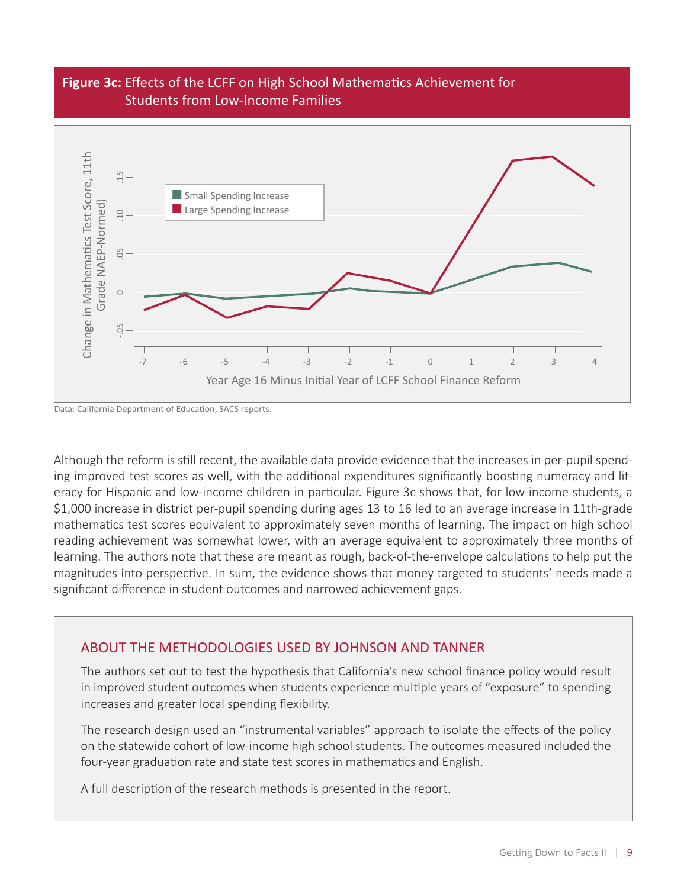#### **Figure 3c:** Effects of the LCFF on High School Mathematics Achievement for Students from Low-Income Families



Data: California Department of Education, SACS reports.

Although the reform is still recent, the available data provide evidence that the increases in per-pupil spending improved test scores as well, with the additional expenditures significantly boosting numeracy and literacy for Hispanic and low-income children in particular. Figure 3c shows that, for low-income students, a \$1,000 increase in district per-pupil spending during ages 13 to 16 led to an average increase in 11th-grade mathematics test scores equivalent to approximately seven months of learning. The impact on high school reading achievement was somewhat lower, with an average equivalent to approximately three months of learning. The authors note that these are meant as rough, back-of-the-envelope calculations to help put the magnitudes into perspective. In sum, the evidence shows that money targeted to students' needs made a significant difference in student outcomes and narrowed achievement gaps.

#### ABOUT THE METHODOLOGIES USED BY JOHNSON AND TANNER

The authors set out to test the hypothesis that California's new school finance policy would result in improved student outcomes when students experience multiple years of "exposure" to spending increases and greater local spending flexibility.

The research design used an "instrumental variables" approach to isolate the effects of the policy on the statewide cohort of low-income high school students. The outcomes measured included the four-year graduation rate and state test scores in mathematics and English.

A full description of the research methods is presented in the report.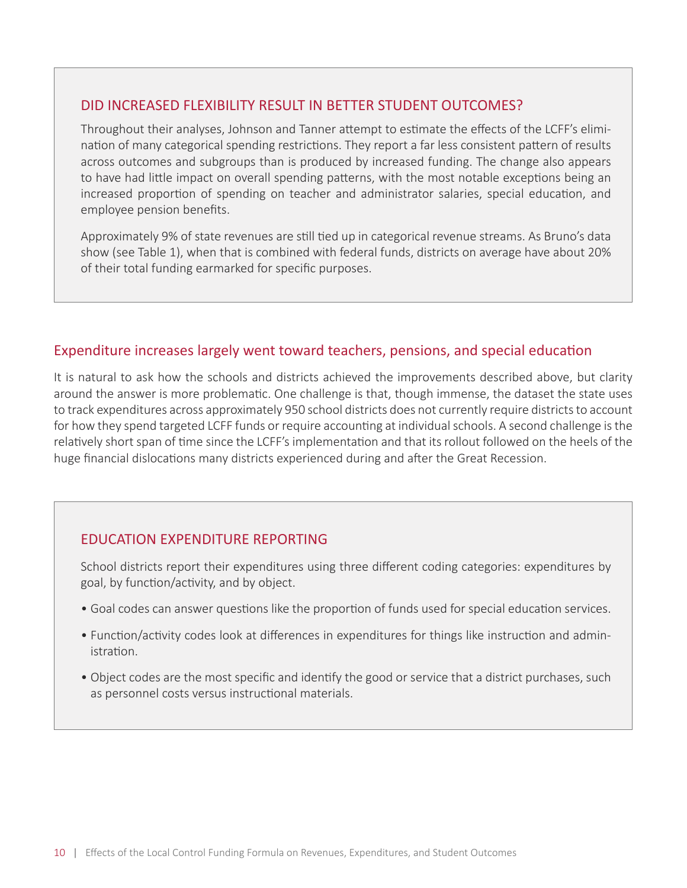#### DID INCREASED FLEXIBILITY RESULT IN BETTER STUDENT OUTCOMES?

Throughout their analyses, Johnson and Tanner attempt to estimate the effects of the LCFF's elimination of many categorical spending restrictions. They report a far less consistent pattern of results across outcomes and subgroups than is produced by increased funding. The change also appears to have had little impact on overall spending patterns, with the most notable exceptions being an increased proportion of spending on teacher and administrator salaries, special education, and employee pension benefits.

Approximately 9% of state revenues are still tied up in categorical revenue streams. As Bruno's data show (see Table 1), when that is combined with federal funds, districts on average have about 20% of their total funding earmarked for specific purposes.

#### Expenditure increases largely went toward teachers, pensions, and special education

It is natural to ask how the schools and districts achieved the improvements described above, but clarity around the answer is more problematic. One challenge is that, though immense, the dataset the state uses to track expenditures across approximately 950 school districts does not currently require districts to account for how they spend targeted LCFF funds or require accounting at individual schools. A second challenge is the relatively short span of time since the LCFF's implementation and that its rollout followed on the heels of the huge financial dislocations many districts experienced during and after the Great Recession.

#### EDUCATION EXPENDITURE REPORTING

School districts report their expenditures using three different coding categories: expenditures by goal, by function/activity, and by object.

- Goal codes can answer questions like the proportion of funds used for special education services.
- Function/activity codes look at differences in expenditures for things like instruction and administration.
- Object codes are the most specific and identify the good or service that a district purchases, such as personnel costs versus instructional materials.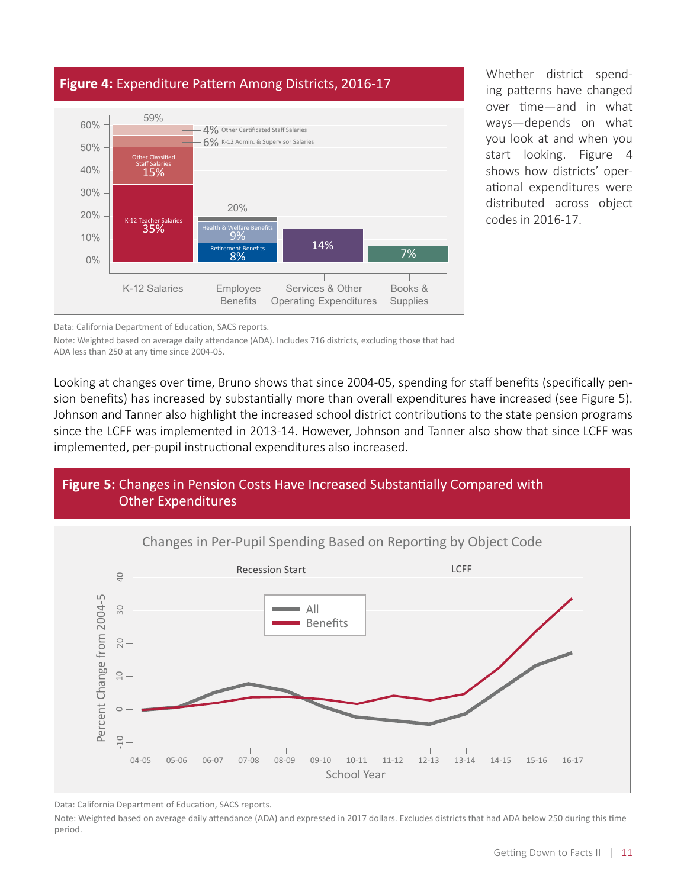

Whether district spending patterns have changed over time—and in what ways—depends on what you look at and when you start looking. Figure 4 shows how districts' operational expenditures were distributed across object codes in 2016-17.

Data: California Department of Education, SACS reports.

Note: Weighted based on average daily attendance (ADA). Includes 716 districts, excluding those that had ADA less than 250 at any time since 2004-05.

Looking at changes over time, Bruno shows that since 2004-05, spending for staff benefits (specifically pension benefits) has increased by substantially more than overall expenditures have increased (see Figure 5). Johnson and Tanner also highlight the increased school district contributions to the state pension programs since the LCFF was implemented in 2013-14. However, Johnson and Tanner also show that since LCFF was implemented, per-pupil instructional expenditures also increased.

### **Figure 5:** Changes in Pension Costs Have Increased Substantially Compared with Other Expenditures



Data: California Department of Education, SACS reports.

Note: Weighted based on average daily attendance (ADA) and expressed in 2017 dollars. Excludes districts that had ADA below 250 during this time period.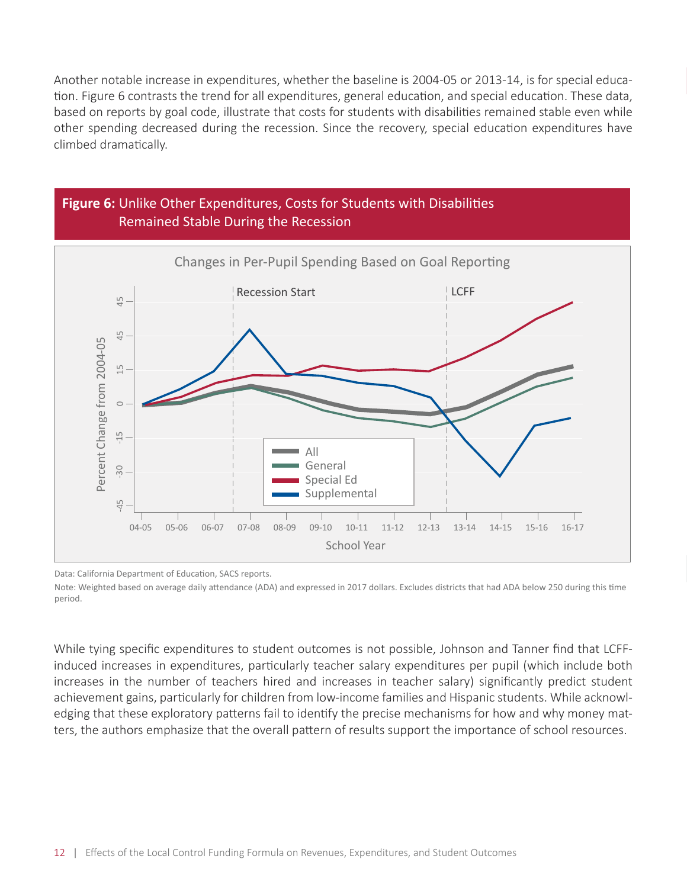Another notable increase in expenditures, whether the baseline is 2004-05 or 2013-14, is for special education. Figure 6 contrasts the trend for all expenditures, general education, and special education. These data, based on reports by goal code, illustrate that costs for students with disabilities remained stable even while other spending decreased during the recession. Since the recovery, special education expenditures have climbed dramatically.



Data: California Department of Education, SACS reports.

Note: Weighted based on average daily attendance (ADA) and expressed in 2017 dollars. Excludes districts that had ADA below 250 during this time period.

While tying specific expenditures to student outcomes is not possible, Johnson and Tanner find that LCFFinduced increases in expenditures, particularly teacher salary expenditures per pupil (which include both increases in the number of teachers hired and increases in teacher salary) significantly predict student achievement gains, particularly for children from low-income families and Hispanic students. While acknowledging that these exploratory patterns fail to identify the precise mechanisms for how and why money matters, the authors emphasize that the overall pattern of results support the importance of school resources.